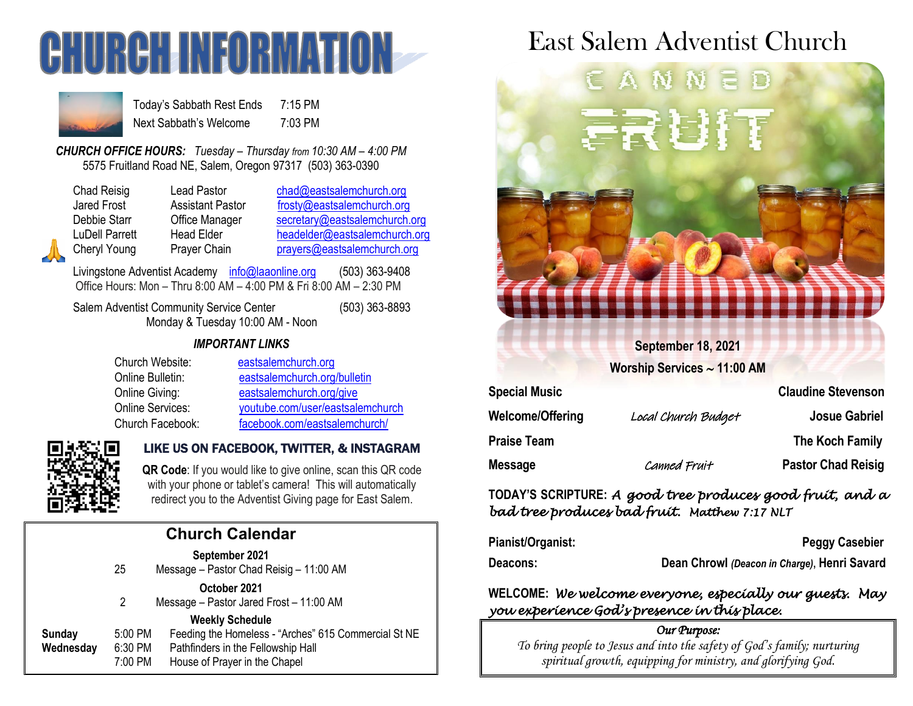



Today's Sabbath Rest Ends 7:15 PM Next Sabbath's Welcome 7:03 PM

*CHURCH OFFICE HOURS: Tuesday – Thursday from 10:30 AM – 4:00 PM* 5575 Fruitland Road NE, Salem, Oregon 97317 (503) 363-0390

| Chad Reisig        |
|--------------------|
| <b>Jared Frost</b> |
| Debbie Starr       |
| LuDell Parrett     |
| Cheryl Young       |

Lead Pastor [chad@eastsalemchurch.org](mailto:chad@eastsalemchurch.org) Assistant Pastor [frosty@eastsalemchurch.org](mailto:frosty@eastsalemchurch.org) Office Manager [secretary@eastsalemchurch.org](mailto:secretary@eastsalemchurch.org) Head Elder [headelder@eastsalemchurch.org](mailto:headelder@eastsalemchurch.org) Prayer Chain [prayers@eastsalemchurch.org](mailto:prayers@eastsalemchurch.org)

Livingstone Adventist Academy [info@laaonline.org](mailto:info@laaonline.org) (503) 363-9408 Office Hours: Mon – Thru 8:00 AM – 4:00 PM & Fri 8:00 AM – 2:30 PM

Salem Adventist Community Service Center (503) 363-8893 Monday & Tuesday 10:00 AM - Noon

### *IMPORTANT LINKS*

| Church Website:  | eastsalemchurch.org              |
|------------------|----------------------------------|
| Online Bulletin: | eastsalemchurch.org/bulletin     |
| Online Giving:   | eastsalemchurch.org/give         |
| Online Services: | youtube.com/user/eastsalemchurch |
| Church Facebook: | facebook.com/eastsalemchurch/    |



### LIKE US ON FACEBOOK, TWITTER, & INSTAGRAM

**QR Code**: If you would like to give online, scan this QR code with your phone or tablet's camera! This will automatically redirect you to the Adventist Giving page for East Salem.

### **Church Calendar September 2021**

|           | 25      | <u>UUNIVIIINUI LULI</u><br>Message - Pastor Chad Reisig - 11:00 AM |
|-----------|---------|--------------------------------------------------------------------|
|           |         | October 2021                                                       |
|           | 2       | Message - Pastor Jared Frost - 11:00 AM                            |
|           |         | <b>Weekly Schedule</b>                                             |
| Sunday    | 5:00 PM | Feeding the Homeless - "Arches" 615 Commercial St NE               |
| Wednesday | 6:30 PM | Pathfinders in the Fellowship Hall                                 |
|           | 7:00 PM | House of Prayer in the Chapel                                      |
|           |         |                                                                    |

# East Salem Adventist Church



**TODAY'S SCRIPTURE:** *A good tree produces good fruit, and a bad tree produces bad fruit. Matthew 7:17 NLT* 

| Pianist/Organist: | <b>Peggy Casebier</b>                        |
|-------------------|----------------------------------------------|
| <b>Deacons:</b>   | Dean Chrowl (Deacon in Charge), Henri Savard |

## **WELCOME:** *We welcome everyone, especially our guests. May you experience God's presence in this place.*

#### *Our Purpose:*

*To bring people to Jesus and into the safety of God's family; nurturing spiritual growth, equipping for ministry, and glorifying God.*